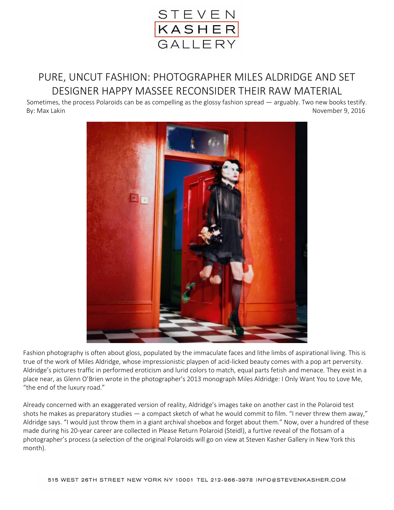

## PURE, UNCUT FASHION: PHOTOGRAPHER MILES ALDRIDGE AND SET DESIGNER HAPPY MASSEE RECONSIDER THEIR RAW MATERIAL

Sometimes, the process Polaroids can be as compelling as the glossy fashion spread — arguably. Two new books testify. By: Max Lakin November 9, 2016



Fashion photography is often about gloss, populated by the immaculate faces and lithe limbs of aspirational living. This is true of the work of Miles Aldridge, whose impressionistic playpen of acid-licked beauty comes with a pop art perversity. Aldridge's pictures traffic in performed eroticism and lurid colors to match, equal parts fetish and menace. They exist in a place near, as Glenn O'Brien wrote in the photographer's 2013 monograph Miles Aldridge: I Only Want You to Love Me, "the end of the luxury road."

Already concerned with an exaggerated version of reality, Aldridge's images take on another cast in the Polaroid test shots he makes as preparatory studies — a compact sketch of what he would commit to film. "I never threw them away," Aldridge says. "I would just throw them in a giant archival shoebox and forget about them." Now, over a hundred of these made during his 20-year career are collected in Please Return Polaroid (Steidl), a furtive reveal of the flotsam of a photographer's process (a selection of the original Polaroids will go on view at Steven Kasher Gallery in New York this month).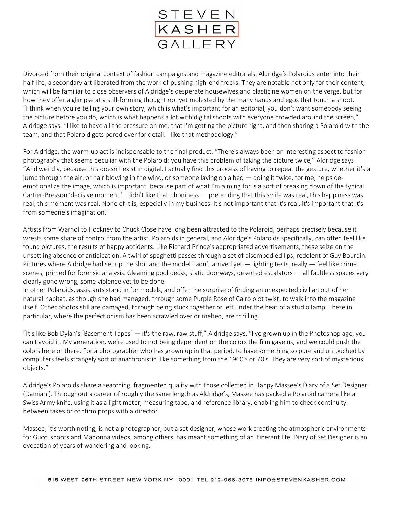

Divorced from their original context of fashion campaigns and magazine editorials, Aldridge's Polaroids enter into their half-life, a secondary art liberated from the work of pushing high-end frocks. They are notable not only for their content, which will be familiar to close observers of Aldridge's desperate housewives and plasticine women on the verge, but for how they offer a glimpse at a still-forming thought not yet molested by the many hands and egos that touch a shoot. "I think when you're telling your own story, which is what's important for an editorial, you don't want somebody seeing the picture before you do, which is what happens a lot with digital shoots with everyone crowded around the screen," Aldridge says. "I like to have all the pressure on me, that I'm getting the picture right, and then sharing a Polaroid with the team, and that Polaroid gets pored over for detail. I like that methodology."

For Aldridge, the warm-up act is indispensable to the final product. "There's always been an interesting aspect to fashion photography that seems peculiar with the Polaroid: you have this problem of taking the picture twice," Aldridge says. "And weirdly, because this doesn't exist in digital, I actually find this process of having to repeat the gesture, whether it's a jump through the air, or hair blowing in the wind, or someone laying on a bed — doing it twice, for me, helps deemotionalize the image, which is important, because part of what I'm aiming for is a sort of breaking down of the typical Cartier-Bresson 'decisive moment.' I didn't like that phoniness — pretending that this smile was real, this happiness was real, this moment was real. None of it is, especially in my business. It's not important that it's real, it's important that it's from someone's imagination."

Artists from Warhol to Hockney to Chuck Close have long been attracted to the Polaroid, perhaps precisely because it wrests some share of control from the artist. Polaroids in general, and Aldridge's Polaroids specifically, can often feel like found pictures, the results of happy accidents. Like Richard Prince's appropriated advertisements, these seize on the unsettling absence of anticipation. A twirl of spaghetti passes through a set of disembodied lips, redolent of Guy Bourdin. Pictures where Aldridge had set up the shot and the model hadn't arrived yet — lighting tests, really — feel like crime scenes, primed for forensic analysis. Gleaming pool decks, static doorways, deserted escalators — all faultless spaces very clearly gone wrong, some violence yet to be done.

In other Polaroids, assistants stand in for models, and offer the surprise of finding an unexpected civilian out of her natural habitat, as though she had managed, through some Purple Rose of Cairo plot twist, to walk into the magazine itself. Other photos still are damaged, through being stuck together or left under the heat of a studio lamp. These in particular, where the perfectionism has been scrawled over or melted, are thrilling.

"It's like Bob Dylan's 'Basement Tapes' — it's the raw, raw stuff," Aldridge says. "I've grown up in the Photoshop age, you can't avoid it. My generation, we're used to not being dependent on the colors the film gave us, and we could push the colors here or there. For a photographer who has grown up in that period, to have something so pure and untouched by computers feels strangely sort of anachronistic, like something from the 1960's or 70's. They are very sort of mysterious objects."

Aldridge's Polaroids share a searching, fragmented quality with those collected in Happy Massee's Diary of a Set Designer (Damiani). Throughout a career of roughly the same length as Aldridge's, Massee has packed a Polaroid camera like a Swiss Army knife, using it as a light meter, measuring tape, and reference library, enabling him to check continuity between takes or confirm props with a director.

Massee, it's worth noting, is not a photographer, but a set designer, whose work creating the atmospheric environments for Gucci shoots and Madonna videos, among others, has meant something of an itinerant life. Diary of Set Designer is an evocation of years of wandering and looking.